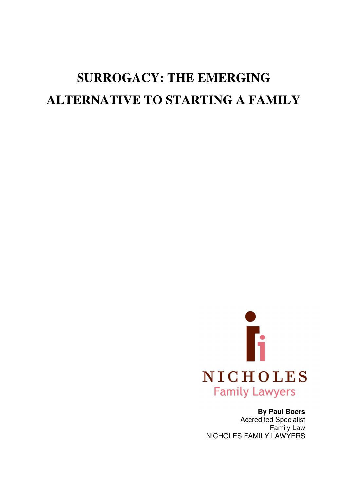# **SURROGACY: THE EMERGING ALTERNATIVE TO STARTING A FAMILY**



# **By Paul Boers**

Accredited Specialist Family Law NICHOLES FAMILY LAWYERS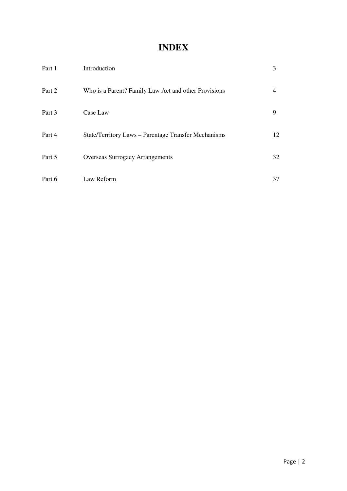# **INDEX**

| Part 1 | Introduction                                         | 3              |
|--------|------------------------------------------------------|----------------|
| Part 2 | Who is a Parent? Family Law Act and other Provisions | $\overline{4}$ |
| Part 3 | Case Law                                             | 9              |
| Part 4 | State/Territory Laws - Parentage Transfer Mechanisms | 12             |
| Part 5 | <b>Overseas Surrogacy Arrangements</b>               | 32             |
| Part 6 | Law Reform                                           | 37             |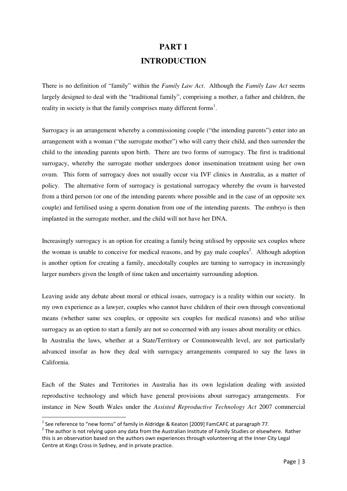# **PART 1 INTRODUCTION**

There is no definition of "family" within the *Family Law Act*. Although the *Family Law Act* seems largely designed to deal with the "traditional family", comprising a mother, a father and children, the reality in society is that the family comprises many different forms<sup>1</sup>.

Surrogacy is an arrangement whereby a commissioning couple ("the intending parents") enter into an arrangement with a woman ("the surrogate mother") who will carry their child, and then surrender the child to the intending parents upon birth. There are two forms of surrogacy. The first is traditional surrogacy, whereby the surrogate mother undergoes donor insemination treatment using her own ovum. This form of surrogacy does not usually occur via IVF clinics in Australia, as a matter of policy. The alternative form of surrogacy is gestational surrogacy whereby the ovum is harvested from a third person (or one of the intending parents where possible and in the case of an opposite sex couple) and fertilised using a sperm donation from one of the intending parents. The embryo is then implanted in the surrogate mother, and the child will not have her DNA.

Increasingly surrogacy is an option for creating a family being utilised by opposite sex couples where the woman is unable to conceive for medical reasons, and by gay male couples<sup>2</sup>. Although adoption is another option for creating a family, anecdotally couples are turning to surrogacy in increasingly larger numbers given the length of time taken and uncertainty surrounding adoption.

Leaving aside any debate about moral or ethical issues, surrogacy is a reality within our society. In my own experience as a lawyer, couples who cannot have children of their own through conventional means (whether same sex couples, or opposite sex couples for medical reasons) and who utilise surrogacy as an option to start a family are not so concerned with any issues about morality or ethics. In Australia the laws, whether at a State/Territory or Commonwealth level, are not particularly advanced insofar as how they deal with surrogacy arrangements compared to say the laws in California.

Each of the States and Territories in Australia has its own legislation dealing with assisted reproductive technology and which have general provisions about surrogacy arrangements. For instance in New South Wales under the *Assisted Reproductive Technology Act* 2007 commercial

l

<sup>&</sup>lt;sup>1</sup> See reference to "new forms" of family in Aldridge & Keaton [2009] FamCAFC at paragraph 77.

 $^2$  The author is not relying upon any data from the Australian Institute of Family Studies or elsewhere. Rather this is an observation based on the authors own experiences through volunteering at the Inner City Legal Centre at Kings Cross in Sydney, and in private practice.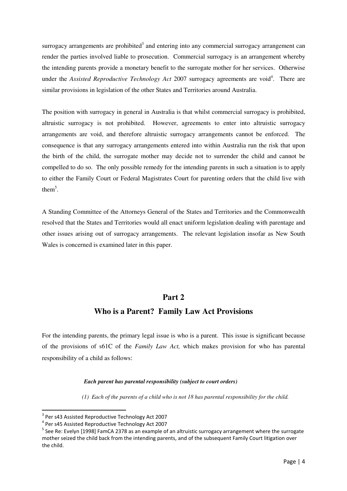surrogacy arrangements are prohibited<sup>3</sup> and entering into any commercial surrogacy arrangement can render the parties involved liable to prosecution. Commercial surrogacy is an arrangement whereby the intending parents provide a monetary benefit to the surrogate mother for her services. Otherwise under the *Assisted Reproductive Technology Act* 2007 surrogacy agreements are void<sup>4</sup>. There are similar provisions in legislation of the other States and Territories around Australia.

The position with surrogacy in general in Australia is that whilst commercial surrogacy is prohibited, altruistic surrogacy is not prohibited. However, agreements to enter into altruistic surrogacy arrangements are void, and therefore altruistic surrogacy arrangements cannot be enforced. The consequence is that any surrogacy arrangements entered into within Australia run the risk that upon the birth of the child, the surrogate mother may decide not to surrender the child and cannot be compelled to do so. The only possible remedy for the intending parents in such a situation is to apply to either the Family Court or Federal Magistrates Court for parenting orders that the child live with them<sup>5</sup>.

A Standing Committee of the Attorneys General of the States and Territories and the Commonwealth resolved that the States and Territories would all enact uniform legislation dealing with parentage and other issues arising out of surrogacy arrangements. The relevant legislation insofar as New South Wales is concerned is examined later in this paper.

# **Part 2**

# **Who is a Parent? Family Law Act Provisions**

For the intending parents, the primary legal issue is who is a parent. This issue is significant because of the provisions of s61C of the *Family Law Act,* which makes provision for who has parental responsibility of a child as follows:

## *Each parent has parental responsibility (subject to court orders)*

 *(1) Each of the parents of a child who is not 18 has parental responsibility for the child.* 

<sup>&</sup>lt;sup>3</sup> Per s43 Assisted Reproductive Technology Act 2007

<sup>&</sup>lt;sup>4</sup> Per s45 Assisted Reproductive Technology Act 2007

<sup>&</sup>lt;sup>5</sup> See Re: Evelyn [1998] FamCA 2378 as an example of an altruistic surrogacy arrangement where the surrogate mother seized the child back from the intending parents, and of the subsequent Family Court litigation over the child.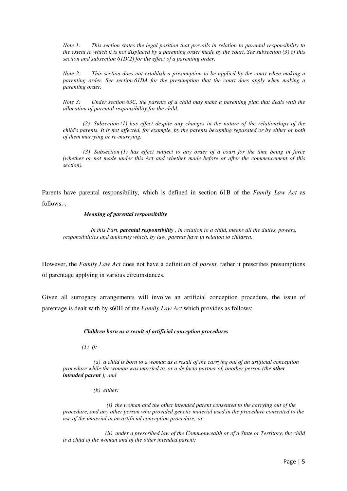*Note 1: This section states the legal position that prevails in relation to parental responsibility to the extent to which it is not displaced by a parenting order made by the court. See subsection (3) of this section and subsection 61D(2) for the effect of a parenting order.* 

*Note 2: This section does not establish a presumption to be applied by the court when making a parenting order. See section 61DA for the presumption that the court does apply when making a parenting order.* 

*Note 3: Under section 63C, the parents of a child may make a parenting plan that deals with the allocation of parental responsibility for the child.* 

 *(2) Subsection (1) has effect despite any changes in the nature of the relationships of the child's parents. It is not affected, for example, by the parents becoming separated or by either or both of them marrying or re-marrying.* 

 *(3) Subsection (1) has effect subject to any order of a court for the time being in force (whether or not made under this Act and whether made before or after the commencement of this section).* 

Parents have parental responsibility, which is defined in section 61B of the *Family Law Act* as follows:-*.*

#### *Meaning of parental responsibility*

 *In this Part, parental responsibility , in relation to a child, means all the duties, powers, responsibilities and authority which, by law, parents have in relation to children.* 

However, the *Family Law Act* does not have a definition of *parent,* rather it prescribes presumptions of parentage applying in various circumstances.

Given all surrogacy arrangements will involve an artificial conception procedure, the issue of parentage is dealt with by s60H of the *Family Law Act* which provides as follows:

#### *Children born as a result of artificial conception procedures*

 *(1) If:* 

 *(a) a child is born to a woman as a result of the carrying out of an artificial conception procedure while the woman was married to, or a de facto partner of, another person (the other intended parent ); and* 

 *(b) either:* 

 *(i) the woman and the other intended parent consented to the carrying out of the procedure, and any other person who provided genetic material used in the procedure consented to the use of the material in an artificial conception procedure; or* 

 *(ii) under a prescribed law of the Commonwealth or of a State or Territory, the child is a child of the woman and of the other intended parent;*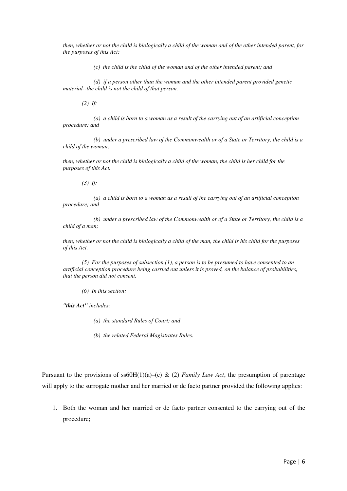*then, whether or not the child is biologically a child of the woman and of the other intended parent, for the purposes of this Act:* 

 *(c) the child is the child of the woman and of the other intended parent; and* 

 *(d) if a person other than the woman and the other intended parent provided genetic material--the child is not the child of that person.* 

 *(2) If:* 

 *(a) a child is born to a woman as a result of the carrying out of an artificial conception procedure; and* 

 *(b) under a prescribed law of the Commonwealth or of a State or Territory, the child is a child of the woman;* 

*then, whether or not the child is biologically a child of the woman, the child is her child for the purposes of this Act.* 

 *(3) If:* 

 *(a) a child is born to a woman as a result of the carrying out of an artificial conception procedure; and* 

 *(b) under a prescribed law of the Commonwealth or of a State or Territory, the child is a child of a man;* 

*then, whether or not the child is biologically a child of the man, the child is his child for the purposes of this Act.* 

 *(5) For the purposes of subsection (1), a person is to be presumed to have consented to an artificial conception procedure being carried out unless it is proved, on the balance of probabilities, that the person did not consent.* 

 *(6) In this section:* 

*"this Act" includes:* 

 *(a) the standard Rules of Court; and* 

 *(b) the related Federal Magistrates Rules.* 

Pursuant to the provisions of ss60H(1)(a)–(c) & (2) *Family Law Act*, the presumption of parentage will apply to the surrogate mother and her married or de facto partner provided the following applies:

1. Both the woman and her married or de facto partner consented to the carrying out of the procedure;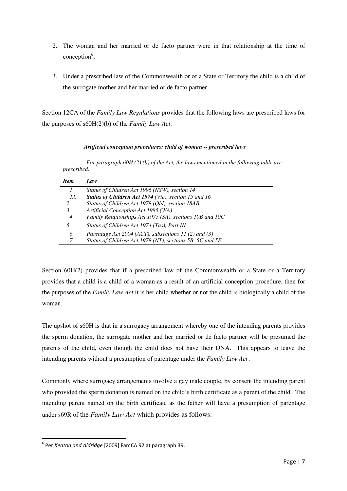- 2. The woman and her married or de facto partner were in that relationship at the time of  $conception<sup>6</sup>;$
- 3. Under a prescribed law of the Commonwealth or of a State or Territory the child is a child of the surrogate mother and her married or de facto partner.

Section 12CA of the *Family Law Regulations* provides that the following laws are prescribed laws for the purposes of s60H(2)(b) of the *Family Law Act*:

# *Artificial conception procedures: child of woman -- prescribed laws*

 *For paragraph 60H (2) (b) of the Act, the laws mentioned in the following table are prescribed.* 

| <b>Item</b> | $I$ <i>aw</i>                                            |
|-------------|----------------------------------------------------------|
|             | Status of Children Act 1996 (NSW), section 14            |
| 1A          | Status of Children Act 1974 (Vic), section 15 and 16     |
| 2           | Status of Children Act 1978 (Qld), section 18AB          |
| 3           | Artificial Conception Act 1985 (WA)                      |
| 4           | Family Relationships Act 1975 (SA), sections 10B and 10C |
| 5           | Status of Children Act 1974 (Tas), Part III              |
| 6           | Parentage Act 2004 (ACT), subsections 11 (2) and (3)     |
|             | Status of Children Act 1978 (NT), sections 5B, 5C and 5E |

Section 60H(2) provides that if a prescribed law of the Commonwealth or a State or a Territory provides that a child is a child of a woman as a result of an artificial conception procedure, then for the purposes of the *Family Law Act* it is her child whether or not the child is biologically a child of the woman.

The upshot of s60H is that in a surrogacy arrangement whereby one of the intending parents provides the sperm donation, the surrogate mother and her married or de facto partner will be presumed the parents of the child, even though the child does not have their DNA. This appears to leave the intending parents without a presumption of parentage under the *Family Law Act* .

Commonly where surrogacy arrangements involve a gay male couple, by consent the intending parent who provided the sperm donation is named on the child's birth certificate as a parent of the child. The intending parent named on the birth certificate as the father will have a presumption of parentage under s69R of the *Family Law Act* which provides as follows:

<sup>&</sup>lt;sup>6</sup> Per Keaton and Aldridge [2009] FamCA 92 at paragraph 39.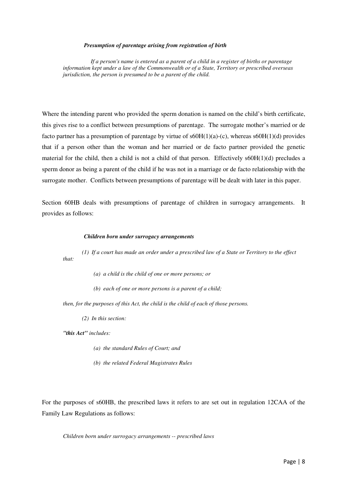#### *Presumption of parentage arising from registration of birth*

 *If a person's name is entered as a parent of a child in a register of births or parentage information kept under a law of the Commonwealth or of a State, Territory or prescribed overseas jurisdiction, the person is presumed to be a parent of the child.* 

Where the intending parent who provided the sperm donation is named on the child's birth certificate, this gives rise to a conflict between presumptions of parentage. The surrogate mother's married or de facto partner has a presumption of parentage by virtue of  $s60H(1)(a)-(c)$ , whereas  $s60H(1)(d)$  provides that if a person other than the woman and her married or de facto partner provided the genetic material for the child, then a child is not a child of that person. Effectively  $s60H(1)(d)$  precludes a sperm donor as being a parent of the child if he was not in a marriage or de facto relationship with the surrogate mother. Conflicts between presumptions of parentage will be dealt with later in this paper.

Section 60HB deals with presumptions of parentage of children in surrogacy arrangements. It provides as follows:

#### *Children born under surrogacy arrangements*

 *(1) If a court has made an order under a prescribed law of a State or Territory to the effect that:* 

- *(a) a child is the child of one or more persons; or*
- *(b) each of one or more persons is a parent of a child;*

*then, for the purposes of this Act, the child is the child of each of those persons.* 

 *(2) In this section:* 

*"this Act" includes:* 

- *(a) the standard Rules of Court; and*
- *(b) the related Federal Magistrates Rules*

For the purposes of s60HB, the prescribed laws it refers to are set out in regulation 12CAA of the Family Law Regulations as follows:

*Children born under surrogacy arrangements -- prescribed laws*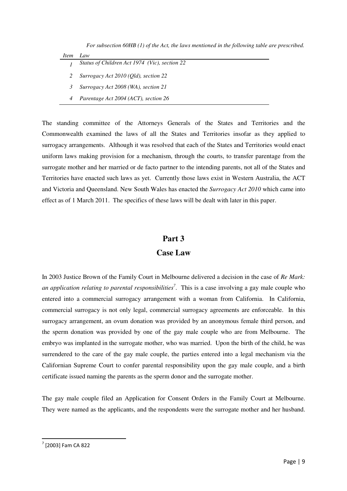*For subsection 60HB (1) of the Act, the laws mentioned in the following table are prescribed.* 

| Item | Law |
|------|-----|
|      |     |

- *1 Status of Children Act 1974 (Vic), section 22*
- *2 Surrogacy Act 2010 (Qld), section 22*
- *3 Surrogacy Act 2008 (WA), section 21*
- *4 Parentage Act 2004 (ACT), section 26*

The standing committee of the Attorneys Generals of the States and Territories and the Commonwealth examined the laws of all the States and Territories insofar as they applied to surrogacy arrangements. Although it was resolved that each of the States and Territories would enact uniform laws making provision for a mechanism, through the courts, to transfer parentage from the surrogate mother and her married or de facto partner to the intending parents, not all of the States and Territories have enacted such laws as yet. Currently those laws exist in Western Australia, the ACT and Victoria and Queensland. New South Wales has enacted the *Surrogacy Act 2010* which came into effect as of 1 March 2011. The specifics of these laws will be dealt with later in this paper.

# **Part 3**

# **Case Law**

In 2003 Justice Brown of the Family Court in Melbourne delivered a decision in the case of *Re Mark:*  an application relating to parental responsibilities<sup>7</sup>. This is a case involving a gay male couple who entered into a commercial surrogacy arrangement with a woman from California. In California, commercial surrogacy is not only legal, commercial surrogacy agreements are enforceable. In this surrogacy arrangement, an ovum donation was provided by an anonymous female third person, and the sperm donation was provided by one of the gay male couple who are from Melbourne. The embryo was implanted in the surrogate mother, who was married. Upon the birth of the child, he was surrendered to the care of the gay male couple, the parties entered into a legal mechanism via the Californian Supreme Court to confer parental responsibility upon the gay male couple, and a birth certificate issued naming the parents as the sperm donor and the surrogate mother.

The gay male couple filed an Application for Consent Orders in the Family Court at Melbourne. They were named as the applicants, and the respondents were the surrogate mother and her husband.

<sup>7</sup> [2003] Fam CA 822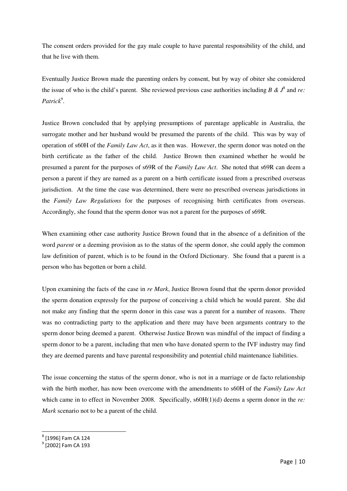The consent orders provided for the gay male couple to have parental responsibility of the child, and that he live with them.

Eventually Justice Brown made the parenting orders by consent, but by way of obiter she considered the issue of who is the child's parent. She reviewed previous case authorities including  $B \& \mathcal{J}^8$  and *re*: Patrick<sup>9</sup>.

Justice Brown concluded that by applying presumptions of parentage applicable in Australia, the surrogate mother and her husband would be presumed the parents of the child. This was by way of operation of s60H of the *Family Law Act*, as it then was. However, the sperm donor was noted on the birth certificate as the father of the child. Justice Brown then examined whether he would be presumed a parent for the purposes of s69R of the *Family Law Act*. She noted that s69R can deem a person a parent if they are named as a parent on a birth certificate issued from a prescribed overseas jurisdiction. At the time the case was determined, there were no prescribed overseas jurisdictions in the *Family Law Regulations* for the purposes of recognising birth certificates from overseas. Accordingly, she found that the sperm donor was not a parent for the purposes of s69R.

When examining other case authority Justice Brown found that in the absence of a definition of the word *parent* or a deeming provision as to the status of the sperm donor, she could apply the common law definition of parent, which is to be found in the Oxford Dictionary. She found that a parent is a person who has begotten or born a child.

Upon examining the facts of the case in *re Mark*, Justice Brown found that the sperm donor provided the sperm donation expressly for the purpose of conceiving a child which he would parent. She did not make any finding that the sperm donor in this case was a parent for a number of reasons. There was no contradicting party to the application and there may have been arguments contrary to the sperm donor being deemed a parent. Otherwise Justice Brown was mindful of the impact of finding a sperm donor to be a parent, including that men who have donated sperm to the IVF industry may find they are deemed parents and have parental responsibility and potential child maintenance liabilities.

The issue concerning the status of the sperm donor, who is not in a marriage or de facto relationship with the birth mother, has now been overcome with the amendments to s60H of the *Family Law Act* which came in to effect in November 2008. Specifically,  $s60H(1)(d)$  deems a sperm donor in the *re*: *Mark* scenario not to be a parent of the child.

l

<sup>8</sup> [1996] Fam CA 124

<sup>&</sup>lt;sup>9</sup> [2002] Fam CA 193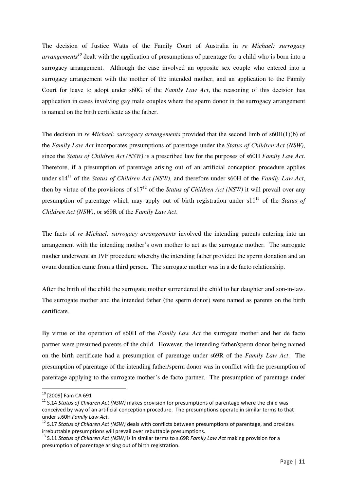The decision of Justice Watts of the Family Court of Australia in *re Michael: surrogacy arrangements<sup>10</sup>* dealt with the application of presumptions of parentage for a child who is born into a surrogacy arrangement. Although the case involved an opposite sex couple who entered into a surrogacy arrangement with the mother of the intended mother, and an application to the Family Court for leave to adopt under s60G of the *Family Law Act*, the reasoning of this decision has application in cases involving gay male couples where the sperm donor in the surrogacy arrangement is named on the birth certificate as the father.

The decision in *re Michael: surrogacy arrangements* provided that the second limb of s60H(1)(b) of the *Family Law Act* incorporates presumptions of parentage under the *Status of Children Act (NSW)*, since the *Status of Children Act (NSW)* is a prescribed law for the purposes of s60H *Family Law Act*. Therefore, if a presumption of parentage arising out of an artificial conception procedure applies under s14<sup>11</sup> of the *Status of Children Act (NSW)*, and therefore under s60H of the *Family Law Act*, then by virtue of the provisions of  $s17^{12}$  of the *Status of Children Act (NSW)* it will prevail over any presumption of parentage which may apply out of birth registration under s11<sup>13</sup> of the *Status of Children Act (NSW)*, or s69R of the *Family Law Act*.

The facts of *re Michael: surrogacy arrangements* involved the intending parents entering into an arrangement with the intending mother's own mother to act as the surrogate mother. The surrogate mother underwent an IVF procedure whereby the intending father provided the sperm donation and an ovum donation came from a third person. The surrogate mother was in a de facto relationship.

After the birth of the child the surrogate mother surrendered the child to her daughter and son-in-law. The surrogate mother and the intended father (the sperm donor) were named as parents on the birth certificate.

By virtue of the operation of s60H of the *Family Law Act* the surrogate mother and her de facto partner were presumed parents of the child. However, the intending father/sperm donor being named on the birth certificate had a presumption of parentage under s69R of the *Family Law Act*. The presumption of parentage of the intending father/sperm donor was in conflict with the presumption of parentage applying to the surrogate mother's de facto partner. The presumption of parentage under

<sup>10</sup> [2009] Fam CA 691

 $11$  S.14 Status of Children Act (NSW) makes provision for presumptions of parentage where the child was conceived by way of an artificial conception procedure. The presumptions operate in similar terms to that under s.60H Family Law Act.

 $12$  S.17 Status of Children Act (NSW) deals with conflicts between presumptions of parentage, and provides irrebuttable presumptions will prevail over rebuttable presumptions.

<sup>&</sup>lt;sup>13</sup> S.11 Status of Children Act (NSW) is in similar terms to s.69R Family Law Act making provision for a presumption of parentage arising out of birth registration.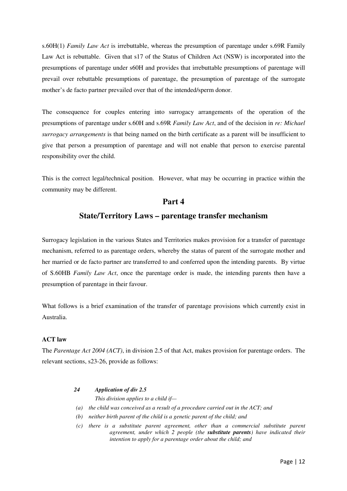s.60H(1) *Family Law Act* is irrebuttable, whereas the presumption of parentage under s.69R Family Law Act is rebuttable. Given that s17 of the Status of Children Act (NSW) is incorporated into the presumptions of parentage under s60H and provides that irrebuttable presumptions of parentage will prevail over rebuttable presumptions of parentage, the presumption of parentage of the surrogate mother's de facto partner prevailed over that of the intended/sperm donor.

The consequence for couples entering into surrogacy arrangements of the operation of the presumptions of parentage under s.60H and s.69R *Family Law Act*, and of the decision in *re: Michael surrogacy arrangements* is that being named on the birth certificate as a parent will be insufficient to give that person a presumption of parentage and will not enable that person to exercise parental responsibility over the child.

This is the correct legal/technical position. However, what may be occurring in practice within the community may be different.

# **Part 4**

# **State/Territory Laws – parentage transfer mechanism**

Surrogacy legislation in the various States and Territories makes provision for a transfer of parentage mechanism, referred to as parentage orders, whereby the status of parent of the surrogate mother and her married or de facto partner are transferred to and conferred upon the intending parents. By virtue of S.60HB *Family Law Act*, once the parentage order is made, the intending parents then have a presumption of parentage in their favour.

What follows is a brief examination of the transfer of parentage provisions which currently exist in Australia.

# **ACT law**

The *Parentage Act 2004 (ACT)*, in division 2.5 of that Act, makes provision for parentage orders. The relevant sections, s23-26, provide as follows:

## *24 Application of div 2.5*

*This division applies to a child if—* 

- *(a) the child was conceived as a result of a procedure carried out in the ACT; and*
- *(b) neither birth parent of the child is a genetic parent of the child; and*
- *(c) there is a substitute parent agreement, other than a commercial substitute parent agreement, under which 2 people (the substitute parents) have indicated their intention to apply for a parentage order about the child; and*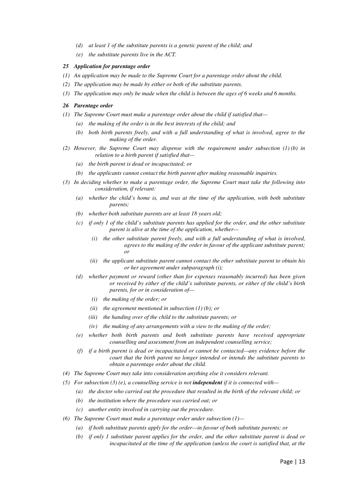- *(d) at least 1 of the substitute parents is a genetic parent of the child; and*
- *(e) the substitute parents live in the ACT.*

#### *25 Application for parentage order*

- *(1) An application may be made to the Supreme Court for a parentage order about the child.*
- *(2) The application may be made by either or both of the substitute parents.*
- *(3) The application may only be made when the child is between the ages of 6 weeks and 6 months.*

#### *26 Parentage order*

- *(1) The Supreme Court must make a parentage order about the child if satisfied that—* 
	- *(a) the making of the order is in the best interests of the child; and*
	- *(b) both birth parents freely, and with a full understanding of what is involved, agree to the making of the order.*
- *(2) However, the Supreme Court may dispense with the requirement under subsection (1) (b) in relation to a birth parent if satisfied that—* 
	- *(a) the birth parent is dead or incapacitated; or*
	- *(b) the applicants cannot contact the birth parent after making reasonable inquiries.*
- *(3) In deciding whether to make a parentage order, the Supreme Court must take the following into consideration, if relevant:* 
	- *(a) whether the child's home is, and was at the time of the application, with both substitute parents;*
	- *(b) whether both substitute parents are at least 18 years old;*
	- *(c) if only 1 of the child's substitute parents has applied for the order, and the other substitute parent is alive at the time of the application, whether—* 
		- *(i) the other substitute parent freely, and with a full understanding of what is involved, agrees to the making of the order in favour of the applicant substitute parent; or*
		- *(ii) the applicant substitute parent cannot contact the other substitute parent to obtain his or her agreement under subparagraph (i);*
	- *(d) whether payment or reward (other than for expenses reasonably incurred) has been given or received by either of the child's substitute parents, or either of the child's birth parents, for or in consideration of—* 
		- *(i) the making of the order; or*
		- *(ii) the agreement mentioned in subsection (1) (b); or*
		- *(iii) the handing over of the child to the substitute parents; or*
		- *(iv) the making of any arrangements with a view to the making of the order;*
	- *(e) whether both birth parents and both substitute parents have received appropriate counselling and assessment from an independent counselling service;*
	- *(f) if a birth parent is dead or incapacitated or cannot be contacted—any evidence before the court that the birth parent no longer intended or intends the substitute parents to obtain a parentage order about the child.*
- *(4) The Supreme Court may take into consideration anything else it considers relevant.*
- *(5) For subsection (3) (e), a counselling service is not independent if it is connected with—* 
	- *(a) the doctor who carried out the procedure that resulted in the birth of the relevant child; or*
	- *(b) the institution where the procedure was carried out; or*
	- *(c) another entity involved in carrying out the procedure.*
- *(6) The Supreme Court must make a parentage order under subsection (1)—* 
	- *(a) if both substitute parents apply for the order—in favour of both substitute parents; or*
	- *(b) if only 1 substitute parent applies for the order, and the other substitute parent is dead or incapacitated at the time of the application (unless the court is satisfied that, at the*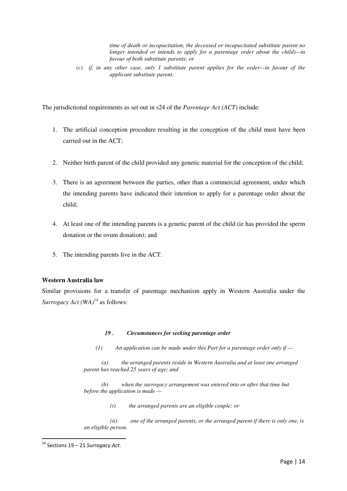*time of death or incapacitation, the deceased or incapacitated substitute parent no longer intended or intends to apply for a parentage order about the child)—in favour of both substitute parents; or* 

 *(c) if, in any other case, only 1 substitute parent applies for the order—in favour of the applicant substitute parent.* 

The jurisdictional requirements as set out in s24 of the *Parentage Act (ACT)* include:

- 1. The artificial conception procedure resulting in the conception of the child must have been carried out in the ACT;
- 2. Neither birth parent of the child provided any genetic material for the conception of the child;
- 3. There is an agreement between the parties, other than a commercial agreement, under which the intending parents have indicated their intention to apply for a parentage order about the child;
- 4. At least one of the intending parents is a genetic parent of the child (ie has provided the sperm donation or the ovum donation); and
- 5. The intending parents live in the ACT.

# **Western Australia law**

Similar provisions for a transfer of parentage mechanism apply in Western Australia under the *Surrogacy Act* (*WA*)<sup>14</sup> as follows:

## *19 . Circumstances for seeking parentage order*

 *(1) An application can be made under this Part for a parentage order only if —* 

 *(a) the arranged parents reside in Western Australia and at least one arranged parent has reached 25 years of age; and* 

 *(b) when the surrogacy arrangement was entered into or after that time but before the application is made —* 

 *(i) the arranged parents are an eligible couple; or* 

 *(ii) one of the arranged parents, or the arranged parent if there is only one, is an eligible person.* 

 $14$  Sections 19 – 21 Surrogacy Act.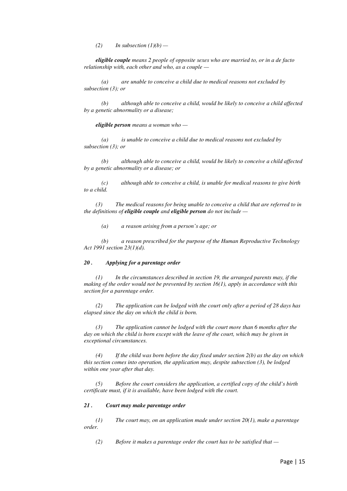$(2)$  *In subsection*  $(1)(b)$  —

 *eligible couple means 2 people of opposite sexes who are married to, or in a de facto relationship with, each other and who, as a couple —* 

 *(a) are unable to conceive a child due to medical reasons not excluded by subsection (3); or* 

 *(b) although able to conceive a child, would be likely to conceive a child affected by a genetic abnormality or a disease;* 

 *eligible person means a woman who —* 

 *(a) is unable to conceive a child due to medical reasons not excluded by subsection (3); or* 

 *(b) although able to conceive a child, would be likely to conceive a child affected by a genetic abnormality or a disease; or* 

 *(c) although able to conceive a child, is unable for medical reasons to give birth to a child.* 

 *(3) The medical reasons for being unable to conceive a child that are referred to in the definitions of eligible couple and eligible person do not include —* 

 *(a) a reason arising from a person's age; or* 

 *(b) a reason prescribed for the purpose of the Human Reproductive Technology Act 1991 section 23(1)(d).* 

#### *20 . Applying for a parentage order*

 *(1) In the circumstances described in section 19, the arranged parents may, if the making of the order would not be prevented by section 16(1), apply in accordance with this section for a parentage order.* 

 *(2) The application can be lodged with the court only after a period of 28 days has elapsed since the day on which the child is born.* 

 *(3) The application cannot be lodged with the court more than 6 months after the day on which the child is born except with the leave of the court, which may be given in exceptional circumstances.* 

 *(4) If the child was born before the day fixed under section 2(b) as the day on which this section comes into operation, the application may, despite subsection (3), be lodged within one year after that day.* 

 *(5) Before the court considers the application, a certified copy of the child's birth certificate must, if it is available, have been lodged with the court.* 

#### *21 . Court may make parentage order*

 *(1) The court may, on an application made under section 20(1), make a parentage order.* 

 *(2) Before it makes a parentage order the court has to be satisfied that —*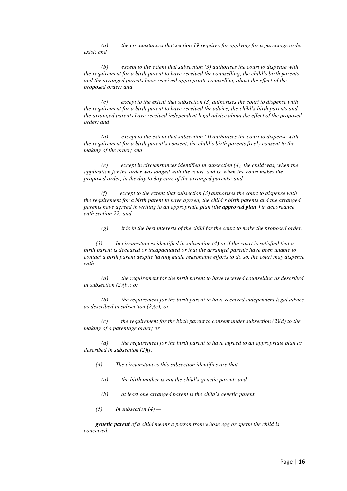*(a) the circumstances that section 19 requires for applying for a parentage order exist; and* 

 *(b) except to the extent that subsection (3) authorises the court to dispense with the requirement for a birth parent to have received the counselling, the child's birth parents and the arranged parents have received appropriate counselling about the effect of the proposed order; and* 

 *(c) except to the extent that subsection (3) authorises the court to dispense with the requirement for a birth parent to have received the advice, the child's birth parents and the arranged parents have received independent legal advice about the effect of the proposed order; and* 

 *(d) except to the extent that subsection (3) authorises the court to dispense with the requirement for a birth parent's consent, the child's birth parents freely consent to the making of the order; and* 

 *(e) except in circumstances identified in subsection (4), the child was, when the application for the order was lodged with the court, and is, when the court makes the proposed order, in the day to day care of the arranged parents; and* 

 *(f) except to the extent that subsection (3) authorises the court to dispense with the requirement for a birth parent to have agreed, the child's birth parents and the arranged parents have agreed in writing to an appropriate plan (the approved plan ) in accordance with section 22; and* 

 *(g) it is in the best interests of the child for the court to make the proposed order.* 

 *(3) In circumstances identified in subsection (4) or if the court is satisfied that a birth parent is deceased or incapacitated or that the arranged parents have been unable to contact a birth parent despite having made reasonable efforts to do so, the court may dispense with —* 

 *(a) the requirement for the birth parent to have received counselling as described in subsection (2)(b); or* 

 *(b) the requirement for the birth parent to have received independent legal advice as described in subsection (2)(c); or* 

 *(c) the requirement for the birth parent to consent under subsection (2)(d) to the making of a parentage order; or* 

 *(d) the requirement for the birth parent to have agreed to an appropriate plan as described in subsection (2)(f).* 

- *(4) The circumstances this subsection identifies are that* 
	- *(a) the birth mother is not the child's genetic parent; and*
	- *(b) at least one arranged parent is the child's genetic parent.*
- *(5) In subsection (4)*

 *genetic parent of a child means a person from whose egg or sperm the child is conceived.*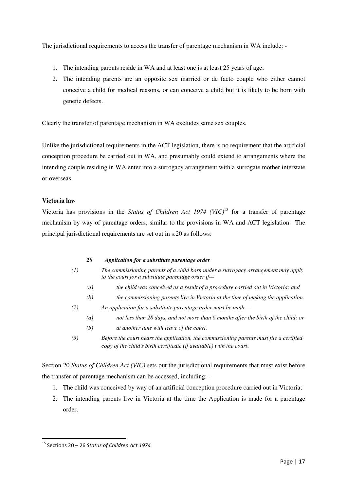The jurisdictional requirements to access the transfer of parentage mechanism in WA include: -

- 1. The intending parents reside in WA and at least one is at least 25 years of age;
- 2. The intending parents are an opposite sex married or de facto couple who either cannot conceive a child for medical reasons, or can conceive a child but it is likely to be born with genetic defects.

Clearly the transfer of parentage mechanism in WA excludes same sex couples.

Unlike the jurisdictional requirements in the ACT legislation, there is no requirement that the artificial conception procedure be carried out in WA, and presumably could extend to arrangements where the intending couple residing in WA enter into a surrogacy arrangement with a surrogate mother interstate or overseas.

# **Victoria law**

Victoria has provisions in the *Status of Children Act 1974 (VIC)*<sup>15</sup> for a transfer of parentage mechanism by way of parentage orders, similar to the provisions in WA and ACT legislation. The principal jurisdictional requirements are set out in s.20 as follows:

- *20 Application for a substitute parentage order*
- *(1) The commissioning parents of a child born under a surrogacy arrangement may apply to the court for a substitute parentage order if—* 
	- *(a) the child was conceived as a result of a procedure carried out in Victoria; and*
	- *(b) the commissioning parents live in Victoria at the time of making the application.*
- *(2) An application for a substitute parentage order must be made—* 
	- *(a) not less than 28 days, and not more than 6 months after the birth of the child; or*
	- *(b) at another time with leave of the court.*
- *(3) Before the court hears the application, the commissioning parents must file a certified copy of the child's birth certificate (if available) with the court*.

Section 20 *Status of Children Act (VIC)* sets out the jurisdictional requirements that must exist before the transfer of parentage mechanism can be accessed, including: -

- 1. The child was conceived by way of an artificial conception procedure carried out in Victoria;
- 2. The intending parents live in Victoria at the time the Application is made for a parentage order.

 $15$  Sections 20 – 26 Status of Children Act 1974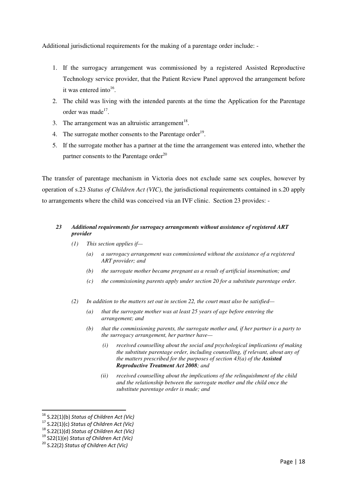Additional jurisdictional requirements for the making of a parentage order include: -

- 1. If the surrogacy arrangement was commissioned by a registered Assisted Reproductive Technology service provider, that the Patient Review Panel approved the arrangement before it was entered into<sup>16</sup>.
- 2. The child was living with the intended parents at the time the Application for the Parentage order was made<sup>17</sup>.
- 3. The arrangement was an altruistic arrangement<sup>18</sup>.
- 4. The surrogate mother consents to the Parentage order<sup>19</sup>.
- 5. If the surrogate mother has a partner at the time the arrangement was entered into, whether the partner consents to the Parentage order $^{20}$

The transfer of parentage mechanism in Victoria does not exclude same sex couples, however by operation of s.23 *Status of Children Act (VIC)*, the jurisdictional requirements contained in s.20 apply to arrangements where the child was conceived via an IVF clinic. Section 23 provides: -

# *23 Additional requirements for surrogacy arrangements without assistance of registered ART provider*

- *(1) This section applies if—* 
	- *(a) a surrogacy arrangement was commissioned without the assistance of a registered ART provider; and*
	- *(b) the surrogate mother became pregnant as a result of artificial insemination; and*
	- *(c) the commissioning parents apply under section 20 for a substitute parentage order.*
- *(2) In addition to the matters set out in section 22, the court must also be satisfied—* 
	- *(a) that the surrogate mother was at least 25 years of age before entering the arrangement; and*
	- *(b) that the commissioning parents, the surrogate mother and, if her partner is a party to the surrogacy arrangement, her partner have—* 
		- *(i) received counselling about the social and psychological implications of making the substitute parentage order, including counselling, if relevant, about any of the matters prescribed for the purposes of section 43(a) of the Assisted Reproductive Treatment Act 2008; and*
		- *(ii) received counselling about the implications of the relinquishment of the child and the relationship between the surrogate mother and the child once the substitute parentage order is made; and*

<sup>&</sup>lt;sup>16</sup> S.22(1)(b) Status of Children Act (Vic)

 $17$  S.22(1)(c) Status of Children Act (Vic)

 $18$  S.22(1)(d) Status of Children Act (Vic)

 $19$  S22(1)(e) Status of Children Act (Vic)

 $20$  S.22(2) Status of Children Act (Vic)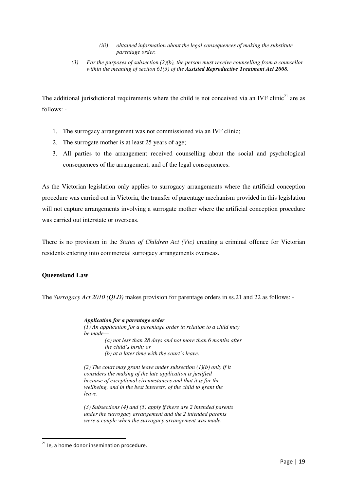## *(iii) obtained information about the legal consequences of making the substitute parentage order.*

 *(3) For the purposes of subsection (2)(b), the person must receive counselling from a counsellor within the meaning of section 61(3) of the Assisted Reproductive Treatment Act 2008.* 

The additional jurisdictional requirements where the child is not conceived via an IVF clinic<sup>21</sup> are as follows: -

- 1. The surrogacy arrangement was not commissioned via an IVF clinic;
- 2. The surrogate mother is at least 25 years of age;
- 3. All parties to the arrangement received counselling about the social and psychological consequences of the arrangement, and of the legal consequences.

As the Victorian legislation only applies to surrogacy arrangements where the artificial conception procedure was carried out in Victoria, the transfer of parentage mechanism provided in this legislation will not capture arrangements involving a surrogate mother where the artificial conception procedure was carried out interstate or overseas.

There is no provision in the *Status of Children Act (Vic)* creating a criminal offence for Victorian residents entering into commercial surrogacy arrangements overseas.

# **Queensland Law**

The *Surrogacy Act 2010 (QLD)* makes provision for parentage orders in ss.21 and 22 as follows: -

*Application for a parentage order (1) An application for a parentage order in relation to a child may be made— (a) not less than 28 days and not more than 6 months after the child's birth; or (b) at a later time with the court's leave.* 

*(2) The court may grant leave under subsection (1)(b) only if it considers the making of the late application is justified because of exceptional circumstances and that it is for the wellbeing, and in the best interests, of the child to grant the leave.* 

*(3) Subsections (4) and (5) apply if there are 2 intended parents under the surrogacy arrangement and the 2 intended parents were a couple when the surrogacy arrangement was made.* 

 $21$  Ie, a home donor insemination procedure.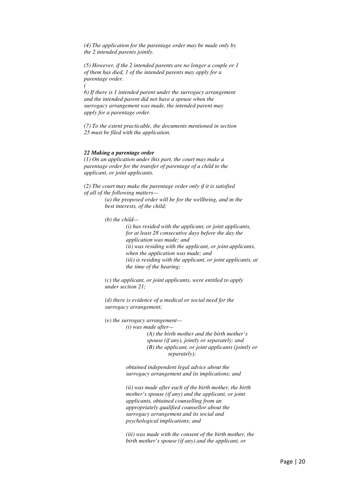*(4) The application for the parentage order may be made only by the 2 intended parents jointly.* 

*(5) However, if the 2 intended parents are no longer a couple or 1 of them has died, 1 of the intended parents may apply for a parentage order. (* 

*6) If there is 1 intended parent under the surrogacy arrangement and the intended parent did not have a spouse when the surrogacy arrangement was made, the intended parent may apply for a parentage order.* 

*(7) To the extent practicable, the documents mentioned in section 25 must be filed with the application.* 

#### *22 Making a parentage order*

*(1) On an application under this part, the court may make a parentage order for the transfer of parentage of a child to the applicant, or joint applicants.* 

*(2) The court may make the parentage order only if it is satisfied of all of the following matters—* 

> *(a) the proposed order will be for the wellbeing, and in the best interests, of the child;*

*(b) the child—* 

*(i) has resided with the applicant, or joint applicants, for at least 28 consecutive days before the day the application was made; and (ii) was residing with the applicant, or joint applicants, when the application was made; and (iii) is residing with the applicant, or joint applicants, at the time of the hearing;* 

*(c) the applicant, or joint applicants, were entitled to apply under section 21;* 

*(d) there is evidence of a medical or social need for the surrogacy arrangement;* 

*(e) the surrogacy arrangement—* 

*(i) was made after—* 

*(A) the birth mother and the birth mother's spouse (if any), jointly or separately; and (B) the applicant, or joint applicants (jointly or separately);* 

*obtained independent legal advice about the surrogacy arrangement and its implications; and* 

*(ii) was made after each of the birth mother, the birth mother's spouse (if any) and the applicant, or joint applicants, obtained counselling from an appropriately qualified counsellor about the surrogacy arrangement and its social and psychological implications; and* 

*(iii) was made with the consent of the birth mother, the birth mother's spouse (if any) and the applicant, or*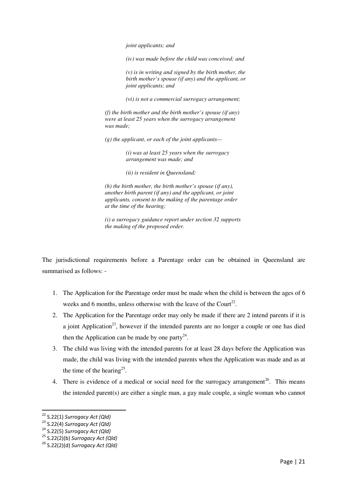*joint applicants; and* 

*(iv) was made before the child was conceived; and* 

*(v) is in writing and signed by the birth mother, the birth mother's spouse (if any) and the applicant, or joint applicants; and* 

*(vi) is not a commercial surrogacy arrangement;* 

*(f) the birth mother and the birth mother's spouse (if any) were at least 25 years when the surrogacy arrangement was made;* 

*(g) the applicant, or each of the joint applicants—*

*(i) was at least 25 years when the surrogacy arrangement was made; and* 

*(ii) is resident in Queensland;* 

*(h) the birth mother, the birth mother's spouse (if any), another birth parent (if any) and the applicant, or joint applicants, consent to the making of the parentage order at the time of the hearing;* 

*(i) a surrogacy guidance report under section 32 supports the making of the proposed order.* 

The jurisdictional requirements before a Parentage order can be obtained in Queensland are summarised as follows: -

- 1. The Application for the Parentage order must be made when the child is between the ages of 6 weeks and 6 months, unless otherwise with the leave of the Court<sup>22</sup>.
- 2. The Application for the Parentage order may only be made if there are 2 intend parents if it is a joint Application<sup>23</sup>, however if the intended parents are no longer a couple or one has died then the Application can be made by one party<sup>24</sup>.
- 3. The child was living with the intended parents for at least 28 days before the Application was made, the child was living with the intended parents when the Application was made and as at the time of the hearing<sup>25</sup>.
- 4. There is evidence of a medical or social need for the surrogacy arrangement<sup>26</sup>. This means the intended parent(s) are either a single man, a gay male couple, a single woman who cannot

<sup>&</sup>lt;sup>22</sup> S.22(1) Surrogacy Act (Qld)

 $23$  S.22(4) Surrogacy Act (Qld)

 $24$  S.22(5) Surrogacy Act (Qld)

 $25$  S.22(2)(b) Surrogacy Act (Qld)

 $26$  S.22(2)(d) Surrogacy Act (Qld)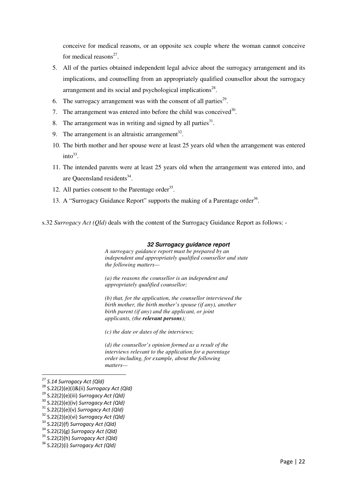conceive for medical reasons, or an opposite sex couple where the woman cannot conceive for medical reasons $27$ .

- 5. All of the parties obtained independent legal advice about the surrogacy arrangement and its implications, and counselling from an appropriately qualified counsellor about the surrogacy arrangement and its social and psychological implications $28$ .
- 6. The surrogacy arrangement was with the consent of all parties<sup>29</sup>.
- 7. The arrangement was entered into before the child was conceived $3^{30}$ .
- 8. The arrangement was in writing and signed by all parties $31$ .
- 9. The arrangement is an altruistic arrangement<sup>32</sup>.
- 10. The birth mother and her spouse were at least 25 years old when the arrangement was entered  $into^{33}$ .
- 11. The intended parents were at least 25 years old when the arrangement was entered into, and are Queensland residents<sup>34</sup>.
- 12. All parties consent to the Parentage order $35$ .
- 13. A "Surrogacy Guidance Report" supports the making of a Parentage order<sup>36</sup>.

s.32 *Surrogacy Act (Qld)* deals with the content of the Surrogacy Guidance Report as follows: -

#### **32 Surrogacy guidance report**

*A surrogacy guidance report must be prepared by an independent and appropriately qualified counsellor and state the following matters—* 

*(a) the reasons the counsellor is an independent and appropriately qualified counsellor;* 

*(b) that, for the application, the counsellor interviewed the birth mother, the birth mother's spouse (if any), another birth parent (if any) and the applicant, or joint applicants, (the relevant persons);* 

*(c) the date or dates of the interviews;* 

*(d) the counsellor's opinion formed as a result of the interviews relevant to the application for a parentage order including, for example, about the following matters—* 

<sup>&</sup>lt;sup>27</sup> S.14 Surrogacy Act (Qld)

<sup>28</sup> S.22(2)(e)(i)&(ii) Surrogacy Act (Qld)

 $29$  S.22(2)(e)(iii) Surrogacy Act (Qld)

 $30$  S.22(2)(e)(iv) Surrogacy Act (Qld)

 $31$  S.22(2)(e)(v) Surrogacy Act (Qld)

 $32$  S.22(2)(e)(vi) Surrogacy Act (Qld)

 $33$  S.22(2)(f) Surrogacy Act (Qld)

 $34$  S.22(2)(g) Surrogacy Act (Qld)

 $35$  S.22(2)(h) Surrogacy Act (Qld)

 $36$  S.22(2)(i) Surrogacy Act (Old)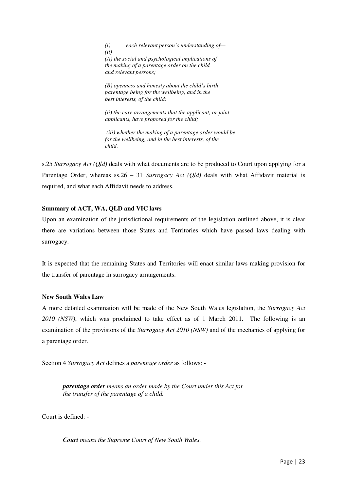*(i) each relevant person's understanding of— (ii) (A) the social and psychological implications of the making of a parentage order on the child and relevant persons;* 

*(B) openness and honesty about the child's birth parentage being for the wellbeing, and in the best interests, of the child;* 

*(ii) the care arrangements that the applicant, or joint applicants, have proposed for the child;* 

 *(iii) whether the making of a parentage order would be for the wellbeing, and in the best interests, of the child.* 

s.25 *Surrogacy Act (Qld)* deals with what documents are to be produced to Court upon applying for a Parentage Order, whereas ss.26 – 31 *Surrogacy Act (Qld)* deals with what Affidavit material is required, and what each Affidavit needs to address.

# **Summary of ACT, WA, QLD and VIC laws**

Upon an examination of the jurisdictional requirements of the legislation outlined above, it is clear there are variations between those States and Territories which have passed laws dealing with surrogacy.

It is expected that the remaining States and Territories will enact similar laws making provision for the transfer of parentage in surrogacy arrangements.

# **New South Wales Law**

A more detailed examination will be made of the New South Wales legislation, the *Surrogacy Act 2010 (NSW)*, which was proclaimed to take effect as of 1 March 2011. The following is an examination of the provisions of the *Surrogacy Act 2010 (NSW)* and of the mechanics of applying for a parentage order.

Section 4 *Surrogacy Act* defines a *parentage order* as follows: -

*parentage order means an order made by the Court under this Act for the transfer of the parentage of a child.*

Court is defined: -

*Court means the Supreme Court of New South Wales.*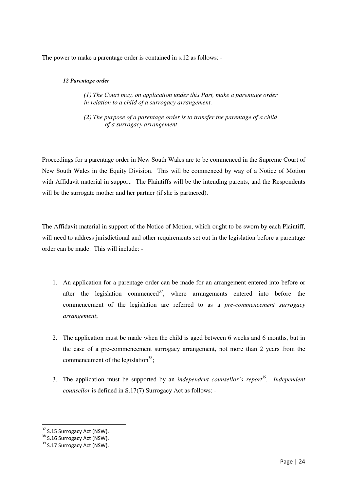The power to make a parentage order is contained in s.12 as follows: -

# *12 Parentage order*

*(1) The Court may, on application under this Part, make a parentage order in relation to a child of a surrogacy arrangement.* 

*(2) The purpose of a parentage order is to transfer the parentage of a child of a surrogacy arrangement*.

Proceedings for a parentage order in New South Wales are to be commenced in the Supreme Court of New South Wales in the Equity Division. This will be commenced by way of a Notice of Motion with Affidavit material in support. The Plaintiffs will be the intending parents, and the Respondents will be the surrogate mother and her partner (if she is partnered).

The Affidavit material in support of the Notice of Motion, which ought to be sworn by each Plaintiff, will need to address jurisdictional and other requirements set out in the legislation before a parentage order can be made. This will include: -

- 1. An application for a parentage order can be made for an arrangement entered into before or after the legislation commenced<sup>37</sup>, where arrangements entered into before the commencement of the legislation are referred to as a *pre-commencement surrogacy arrangement*;
- 2. The application must be made when the child is aged between 6 weeks and 6 months, but in the case of a pre-commencement surrogacy arrangement, not more than 2 years from the commencement of the legislation<sup>38</sup>;
- 3. The application must be supported by an *independent counsellor's report<sup>39</sup> . Independent counsellor* is defined in S.17(7) Surrogacy Act as follows: -

<sup>&</sup>lt;sup>37</sup> S.15 Surrogacy Act (NSW).

<sup>38</sup> S.16 Surrogacy Act (NSW).

<sup>&</sup>lt;sup>39</sup> S.17 Surrogacy Act (NSW).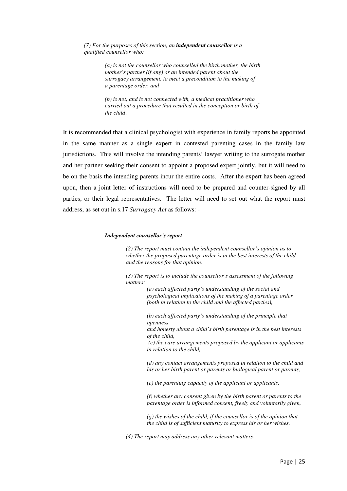*(7) For the purposes of this section, an independent counsellor is a qualified counsellor who:* 

> *(a) is not the counsellor who counselled the birth mother, the birth mother's partner (if any) or an intended parent about the surrogacy arrangement, to meet a precondition to the making of a parentage order, and*

> *(b) is not, and is not connected with, a medical practitioner who carried out a procedure that resulted in the conception or birth of the child*.

It is recommended that a clinical psychologist with experience in family reports be appointed in the same manner as a single expert in contested parenting cases in the family law jurisdictions. This will involve the intending parents' lawyer writing to the surrogate mother and her partner seeking their consent to appoint a proposed expert jointly, but it will need to be on the basis the intending parents incur the entire costs. After the expert has been agreed upon, then a joint letter of instructions will need to be prepared and counter-signed by all parties, or their legal representatives. The letter will need to set out what the report must address, as set out in s.17 *Surrogacy Act* as follows: -

#### *Independent counsellor's report*

*(2) The report must contain the independent counsellor's opinion as to whether the proposed parentage order is in the best interests of the child and the reasons for that opinion.* 

*(3) The report is to include the counsellor's assessment of the following matters:* 

> *(a) each affected party's understanding of the social and psychological implications of the making of a parentage order (both in relation to the child and the affected parties),*

*(b) each affected party's understanding of the principle that openness* 

*and honesty about a child's birth parentage is in the best interests of the child,* 

 *(c) the care arrangements proposed by the applicant or applicants in relation to the child,* 

*(d) any contact arrangements proposed in relation to the child and his or her birth parent or parents or biological parent or parents,* 

*(e) the parenting capacity of the applicant or applicants,* 

*(f) whether any consent given by the birth parent or parents to the parentage order is informed consent, freely and voluntarily given,* 

*(g) the wishes of the child, if the counsellor is of the opinion that the child is of sufficient maturity to express his or her wishes.* 

*(4) The report may address any other relevant matters.*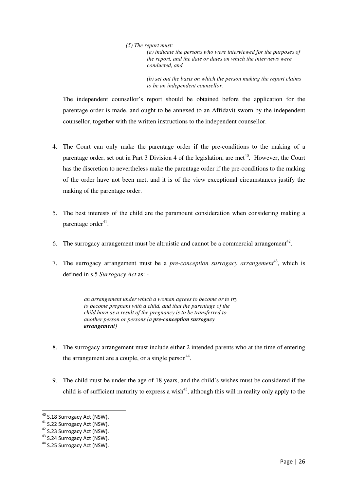## *(5) The report must:*

*(a) indicate the persons who were interviewed for the purposes of the report, and the date or dates on which the interviews were conducted, and* 

*(b) set out the basis on which the person making the report claims to be an independent counsellor.* 

The independent counsellor's report should be obtained before the application for the parentage order is made, and ought to be annexed to an Affidavit sworn by the independent counsellor, together with the written instructions to the independent counsellor.

- 4. The Court can only make the parentage order if the pre-conditions to the making of a parentage order, set out in Part 3 Division 4 of the legislation, are met<sup>40</sup>. However, the Court has the discretion to nevertheless make the parentage order if the pre-conditions to the making of the order have not been met, and it is of the view exceptional circumstances justify the making of the parentage order.
- 5. The best interests of the child are the paramount consideration when considering making a parentage order<sup>41</sup>.
- 6. The surrogacy arrangement must be altruistic and cannot be a commercial arrangement<sup>42</sup>.
- 7. The surrogacy arrangement must be a *pre-conception surrogacy arrangement*<sup>43</sup>, which is defined in s.5 *Surrogacy Act* as: -

*an arrangement under which a woman agrees to become or to try to become pregnant with a child, and that the parentage of the child born as a result of the pregnancy is to be transferred to another person or persons (a pre-conception surrogacy arrangement)* 

- 8. The surrogacy arrangement must include either 2 intended parents who at the time of entering the arrangement are a couple, or a single person $44$ .
- 9. The child must be under the age of 18 years, and the child's wishes must be considered if the child is of sufficient maturity to express a wish<sup>45</sup>, although this will in reality only apply to the

<sup>&</sup>lt;sup>40</sup> S.18 Surrogacy Act (NSW).

<sup>&</sup>lt;sup>41</sup> S.22 Surrogacy Act (NSW).

<sup>&</sup>lt;sup>42</sup> S.23 Surrogacy Act (NSW).

<sup>43</sup> S.24 Surrogacy Act (NSW).

<sup>&</sup>lt;sup>44</sup> S.25 Surrogacy Act (NSW).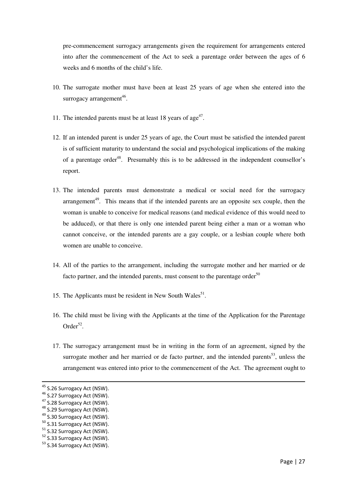pre-commencement surrogacy arrangements given the requirement for arrangements entered into after the commencement of the Act to seek a parentage order between the ages of 6 weeks and 6 months of the child's life.

- 10. The surrogate mother must have been at least 25 years of age when she entered into the surrogacy arrangement<sup>46</sup>.
- 11. The intended parents must be at least 18 years of  $age<sup>47</sup>$ .
- 12. If an intended parent is under 25 years of age, the Court must be satisfied the intended parent is of sufficient maturity to understand the social and psychological implications of the making of a parentage order<sup>48</sup>. Presumably this is to be addressed in the independent counsellor's report.
- 13. The intended parents must demonstrate a medical or social need for the surrogacy arrangement<sup>49</sup>. This means that if the intended parents are an opposite sex couple, then the woman is unable to conceive for medical reasons (and medical evidence of this would need to be adduced), or that there is only one intended parent being either a man or a woman who cannot conceive, or the intended parents are a gay couple, or a lesbian couple where both women are unable to conceive.
- 14. All of the parties to the arrangement, including the surrogate mother and her married or de facto partner, and the intended parents, must consent to the parentage order $50$
- 15. The Applicants must be resident in New South Wales $<sup>51</sup>$ .</sup>
- 16. The child must be living with the Applicants at the time of the Application for the Parentage Order $52$ .
- 17. The surrogacy arrangement must be in writing in the form of an agreement, signed by the surrogate mother and her married or de facto partner, and the intended parents<sup>53</sup>, unless the arrangement was entered into prior to the commencement of the Act. The agreement ought to

l

<sup>&</sup>lt;sup>45</sup> S.26 Surrogacy Act (NSW).

<sup>&</sup>lt;sup>46</sup> S.27 Surrogacy Act (NSW).

<sup>&</sup>lt;sup>47</sup> S.28 Surrogacy Act (NSW).

<sup>&</sup>lt;sup>48</sup> S.29 Surrogacy Act (NSW).

<sup>&</sup>lt;sup>49</sup> S.30 Surrogacy Act (NSW).

<sup>&</sup>lt;sup>50</sup> S.31 Surrogacy Act (NSW).

<sup>&</sup>lt;sup>51</sup> S.32 Surrogacy Act (NSW).

<sup>&</sup>lt;sup>52</sup> S.33 Surrogacy Act (NSW).

<sup>&</sup>lt;sup>53</sup> S.34 Surrogacy Act (NSW).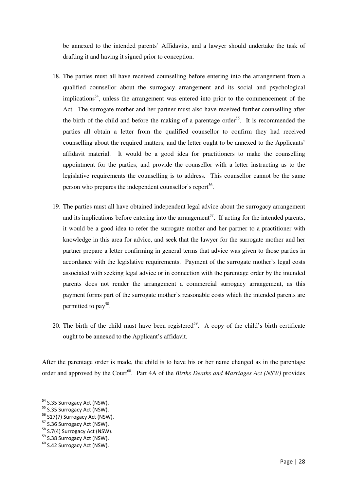be annexed to the intended parents' Affidavits, and a lawyer should undertake the task of drafting it and having it signed prior to conception.

- 18. The parties must all have received counselling before entering into the arrangement from a qualified counsellor about the surrogacy arrangement and its social and psychological implications<sup>54</sup>, unless the arrangement was entered into prior to the commencement of the Act. The surrogate mother and her partner must also have received further counselling after the birth of the child and before the making of a parentage order<sup>55</sup>. It is recommended the parties all obtain a letter from the qualified counsellor to confirm they had received counselling about the required matters, and the letter ought to be annexed to the Applicants' affidavit material. It would be a good idea for practitioners to make the counselling appointment for the parties, and provide the counsellor with a letter instructing as to the legislative requirements the counselling is to address. This counsellor cannot be the same person who prepares the independent counsellor's report<sup>56</sup>.
- 19. The parties must all have obtained independent legal advice about the surrogacy arrangement and its implications before entering into the arrangement<sup>57</sup>. If acting for the intended parents, it would be a good idea to refer the surrogate mother and her partner to a practitioner with knowledge in this area for advice, and seek that the lawyer for the surrogate mother and her partner prepare a letter confirming in general terms that advice was given to those parties in accordance with the legislative requirements. Payment of the surrogate mother's legal costs associated with seeking legal advice or in connection with the parentage order by the intended parents does not render the arrangement a commercial surrogacy arrangement, as this payment forms part of the surrogate mother's reasonable costs which the intended parents are permitted to pay<sup>58</sup>.
- 20. The birth of the child must have been registered<sup>59</sup>. A copy of the child's birth certificate ought to be annexed to the Applicant's affidavit.

After the parentage order is made, the child is to have his or her name changed as in the parentage order and approved by the Court<sup>60</sup>. Part 4A of the *Births Deaths and Marriages Act (NSW)* provides

<sup>&</sup>lt;sup>54</sup> S.35 Surrogacy Act (NSW).

<sup>55</sup> S.35 Surrogacy Act (NSW).

<sup>&</sup>lt;sup>56</sup> S17(7) Surrogacy Act (NSW).

<sup>&</sup>lt;sup>57</sup> S.36 Surrogacy Act (NSW).

<sup>&</sup>lt;sup>58</sup> S.7(4) Surrogacy Act (NSW).

<sup>&</sup>lt;sup>59</sup> S.38 Surrogacy Act (NSW).

<sup>&</sup>lt;sup>60</sup> S.42 Surrogacy Act (NSW).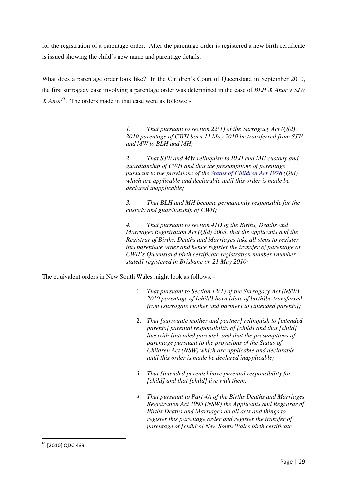for the registration of a parentage order. After the parentage order is registered a new birth certificate is issued showing the child's new name and parentage details.

What does a parentage order look like? In the Children's Court of Queensland in September 2010, the first surrogacy case involving a parentage order was determined in the case of *BLH & Anor v SJW & Anor<sup>61</sup>*. The orders made in that case were as follows: -

> *1. That pursuant to section 22(1) of the Surrogacy Act (Qld) 2010 parentage of CWH born 11 May 2010 be transferred from SJW and MW to BLH and MH;*

*2. That SJW and MW relinquish to BLH and MH custody and guardianship of CWH and that the presumptions of parentage pursuant to the provisions of the Status of Children Act 1978 (Qld) which are applicable and declarable until this order is made be declared inapplicable;* 

*3. That BLH and MH become permanently responsible for the custody and guardianship of CWH;* 

*4. That pursuant to section 41D of the Births, Deaths and Marriages Registration Act (Qld) 2003, that the applicants and the Registrar of Births, Deaths and Marriages take all steps to register this parentage order and hence register the transfer of parentage of CWH's Queensland birth certificate registration number [number stated] registered in Brisbane on 21 May 2010;* 

The equivalent orders in New South Wales might look as follows: -

- 1. *That pursuant to Section 12(1) of the Surrogacy Act (NSW) 2010 parentage of [child] born [date of birth]be transferred from [surrogate mother and partner] to [intended parents];*
- 2. *That [surrogate mother and partner] relinquish to [intended parents] parental responsibility of [child] and that [child] live with [intended parents], and that the presumptions of parentage pursuant to the provisions of the Status of Children Act (NSW) which are applicable and declarable until this order is made be declared inapplicable;*
- *3. That [intended parents] have parental responsibility for [child] and that [child] live with them;*
- *4. That pursuant to Part 4A of the Births Deaths and Marriages Registration Act 1995 (NSW) the Applicants and Registrar of Births Deaths and Marriages do all acts and things to register this parentage order and register the transfer of parentage of [child's] New South Wales birth certificate*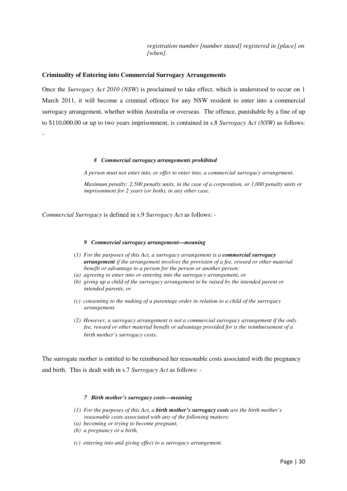*registration number [number stated] registered in [place] on [when].* 

## **Criminality of Entering into Commercial Surrogacy Arrangements**

Once the *Surrogacy Act 2010 (NSW)* is proclaimed to take effect, which is understood to occur on 1 March 2011, it will become a criminal offence for any NSW resident to enter into a commercial surrogacy arrangement, whether within Australia or overseas. The offence, punishable by a fine of up to \$110,000.00 or up to two years imprisonment, is contained in s.8 *Surrogacy Act (NSW)* as follows:

#### *8 Commercial surrogacy arrangements prohibited*

*A person must not enter into, or offer to enter into, a commercial surrogacy arrangement.* 

*Maximum penalty: 2,500 penalty units, in the case of a corporation, or 1,000 penalty units or imprisonment for 2 years (or both), in any other case.* 

*Commercial Surrogacy* is defined in s.9 *Surrogacy Act* as follows: -

-

#### *9 Commercial surrogacy arrangement—meaning*

- *(1) For the purposes of this Act, a surrogacy arrangement is a commercial surrogacy arrangement if the arrangement involves the provision of a fee, reward or other material benefit or advantage to a person for the person or another person:*
- *(a) agreeing to enter into or entering into the surrogacy arrangement, or*
- *(b) giving up a child of the surrogacy arrangement to be raised by the intended parent or intended parents, or*
- *(c) consenting to the making of a parentage order in relation to a child of the surrogacy arrangement.*
- *(2) However, a surrogacy arrangement is not a commercial surrogacy arrangement if the only fee, reward or other material benefit or advantage provided for is the reimbursement of a birth mother's surrogacy costs*.

The surrogate mother is entitled to be reimbursed her reasonable costs associated with the pregnancy and birth. This is dealt with in s.7 *Surrogacy Act* as follows: -

## *7 Birth mother's surrogacy costs—meaning*

- *(1) For the purposes of this Act, a birth mother's surrogacy costs are the birth mother's reasonable costs associated with any of the following matters:*
- *(a) becoming or trying to become pregnant,*
- *(b) a pregnancy or a birth,*
- *(c) entering into and giving effect to a surrogacy arrangement.*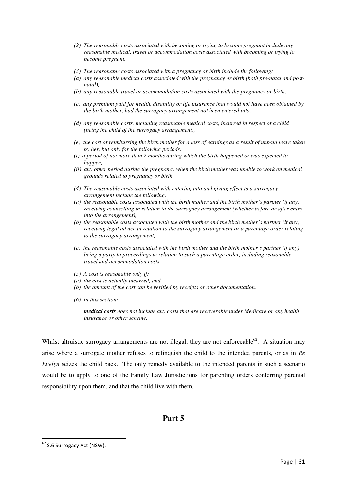- *(2) The reasonable costs associated with becoming or trying to become pregnant include any reasonable medical, travel or accommodation costs associated with becoming or trying to become pregnant.*
- *(3) The reasonable costs associated with a pregnancy or birth include the following:*
- *(a) any reasonable medical costs associated with the pregnancy or birth (both pre-natal and postnatal),*
- *(b) any reasonable travel or accommodation costs associated with the pregnancy or birth,*
- *(c) any premium paid for health, disability or life insurance that would not have been obtained by the birth mother, had the surrogacy arrangement not been entered into,*
- *(d) any reasonable costs, including reasonable medical costs, incurred in respect of a child (being the child of the surrogacy arrangement),*
- *(e) the cost of reimbursing the birth mother for a loss of earnings as a result of unpaid leave taken by her, but only for the following periods:*
- *(i) a period of not more than 2 months during which the birth happened or was expected to happen,*
- *(ii) any other period during the pregnancy when the birth mother was unable to work on medical grounds related to pregnancy or birth.*
- *(4) The reasonable costs associated with entering into and giving effect to a surrogacy arrangement include the following:*
- *(a) the reasonable costs associated with the birth mother and the birth mother's partner (if any) receiving counselling in relation to the surrogacy arrangement (whether before or after entry into the arrangement),*
- *(b) the reasonable costs associated with the birth mother and the birth mother's partner (if any) receiving legal advice in relation to the surrogacy arrangement or a parentage order relating to the surrogacy arrangement,*
- *(c) the reasonable costs associated with the birth mother and the birth mother's partner (if any) being a party to proceedings in relation to such a parentage order, including reasonable travel and accommodation costs.*
- *(5) A cost is reasonable only if:*
- *(a) the cost is actually incurred, and*
- *(b) the amount of the cost can be verified by receipts or other documentation.*
- *(6) In this section:*

*medical costs does not include any costs that are recoverable under Medicare or any health insurance or other scheme.* 

Whilst altruistic surrogacy arrangements are not illegal, they are not enforceable<sup>62</sup>. A situation may arise where a surrogate mother refuses to relinquish the child to the intended parents, or as in *Re Evelyn* seizes the child back. The only remedy available to the intended parents in such a scenario would be to apply to one of the Family Law Jurisdictions for parenting orders conferring parental responsibility upon them, and that the child live with them.

# **Part 5**

<sup>&</sup>lt;sup>62</sup> S.6 Surrogacy Act (NSW).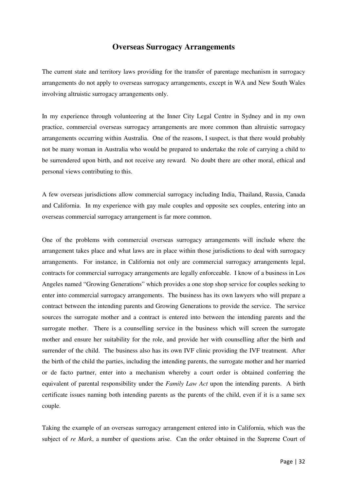# **Overseas Surrogacy Arrangements**

The current state and territory laws providing for the transfer of parentage mechanism in surrogacy arrangements do not apply to overseas surrogacy arrangements, except in WA and New South Wales involving altruistic surrogacy arrangements only.

In my experience through volunteering at the Inner City Legal Centre in Sydney and in my own practice, commercial overseas surrogacy arrangements are more common than altruistic surrogacy arrangements occurring within Australia. One of the reasons, I suspect, is that there would probably not be many woman in Australia who would be prepared to undertake the role of carrying a child to be surrendered upon birth, and not receive any reward. No doubt there are other moral, ethical and personal views contributing to this.

A few overseas jurisdictions allow commercial surrogacy including India, Thailand, Russia, Canada and California. In my experience with gay male couples and opposite sex couples, entering into an overseas commercial surrogacy arrangement is far more common.

One of the problems with commercial overseas surrogacy arrangements will include where the arrangement takes place and what laws are in place within those jurisdictions to deal with surrogacy arrangements. For instance, in California not only are commercial surrogacy arrangements legal, contracts for commercial surrogacy arrangements are legally enforceable. I know of a business in Los Angeles named "Growing Generations" which provides a one stop shop service for couples seeking to enter into commercial surrogacy arrangements. The business has its own lawyers who will prepare a contract between the intending parents and Growing Generations to provide the service. The service sources the surrogate mother and a contract is entered into between the intending parents and the surrogate mother. There is a counselling service in the business which will screen the surrogate mother and ensure her suitability for the role, and provide her with counselling after the birth and surrender of the child. The business also has its own IVF clinic providing the IVF treatment. After the birth of the child the parties, including the intending parents, the surrogate mother and her married or de facto partner, enter into a mechanism whereby a court order is obtained conferring the equivalent of parental responsibility under the *Family Law Act* upon the intending parents. A birth certificate issues naming both intending parents as the parents of the child, even if it is a same sex couple.

Taking the example of an overseas surrogacy arrangement entered into in California, which was the subject of *re Mark*, a number of questions arise. Can the order obtained in the Supreme Court of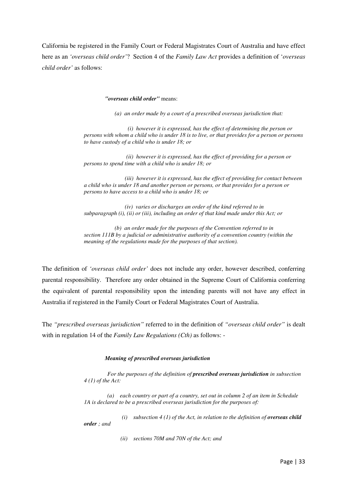California be registered in the Family Court or Federal Magistrates Court of Australia and have effect here as an *'overseas child order'*? Section 4 of the *Family Law Act* provides a definition of '*overseas child order'* as follows:

#### *"overseas child order"* means:

*(a) an order made by a court of a prescribed overseas jurisdiction that:* 

 *(i) however it is expressed, has the effect of determining the person or persons with whom a child who is under 18 is to live, or that provides for a person or persons to have custody of a child who is under 18; or* 

 *(ii) however it is expressed, has the effect of providing for a person or persons to spend time with a child who is under 18; or* 

 *(iii) however it is expressed, has the effect of providing for contact between a child who is under 18 and another person or persons, or that provides for a person or persons to have access to a child who is under 18; or* 

 *(iv) varies or discharges an order of the kind referred to in subparagraph (i), (ii) or (iii), including an order of that kind made under this Act; or* 

 *(b) an order made for the purposes of the Convention referred to in section 111B by a judicial or administrative authority of a convention country (within the meaning of the regulations made for the purposes of that section).* 

The definition of *'overseas child order'* does not include any order, however described, conferring parental responsibility. Therefore any order obtained in the Supreme Court of California conferring the equivalent of parental responsibility upon the intending parents will not have any effect in Australia if registered in the Family Court or Federal Magistrates Court of Australia.

The *"prescribed overseas jurisdiction"* referred to in the definition of *"overseas child order"* is dealt with in regulation 14 of the *Family Law Regulations (Cth)* as follows: -

## *Meaning of prescribed overseas jurisdiction*

 *For the purposes of the definition of prescribed overseas jurisdiction in subsection 4 (1) of the Act:* 

 *(a) each country or part of a country, set out in column 2 of an item in Schedule 1A is declared to be a prescribed overseas jurisdiction for the purposes of:* 

 $(i)$  subsection  $4(1)$  of the Act, in relation to the definition of *overseas child order ; and* 

 *(ii) sections 70M and 70N of the Act; and*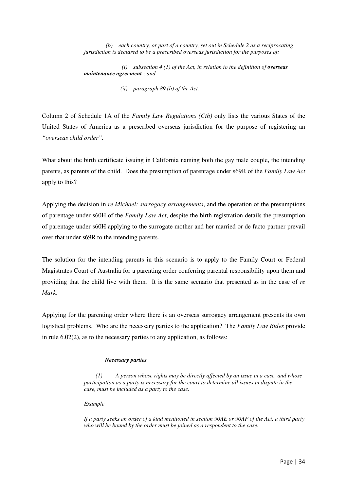*(b) each country, or part of a country, set out in Schedule 2 as a reciprocating jurisdiction is declared to be a prescribed overseas jurisdiction for the purposes of:* 

 $(i)$  subsection  $4(1)$  of the Act, in relation to the definition of *overseas maintenance agreement ; and* 

 *(ii) paragraph 89 (b) of the Act.*

Column 2 of Schedule 1A of the *Family Law Regulations (Cth)* only lists the various States of the United States of America as a prescribed overseas jurisdiction for the purpose of registering an *"overseas child order".* 

What about the birth certificate issuing in California naming both the gay male couple, the intending parents, as parents of the child. Does the presumption of parentage under s69R of the *Family Law Act* apply to this?

Applying the decision in *re Michael: surrogacy arrangements*, and the operation of the presumptions of parentage under s60H of the *Family Law Act*, despite the birth registration details the presumption of parentage under s60H applying to the surrogate mother and her married or de facto partner prevail over that under s69R to the intending parents.

The solution for the intending parents in this scenario is to apply to the Family Court or Federal Magistrates Court of Australia for a parenting order conferring parental responsibility upon them and providing that the child live with them. It is the same scenario that presented as in the case of *re Mark*.

Applying for the parenting order where there is an overseas surrogacy arrangement presents its own logistical problems. Who are the necessary parties to the application? The *Family Law Rules* provide in rule 6.02(2), as to the necessary parties to any application, as follows:

## *Necessary parties*

 *(1) A person whose rights may be directly affected by an issue in a case, and whose participation as a party is necessary for the court to determine all issues in dispute in the case, must be included as a party to the case.* 

*Example* 

*If a party seeks an order of a kind mentioned in section 90AE or 90AF of the Act, a third party who will be bound by the order must be joined as a respondent to the case.*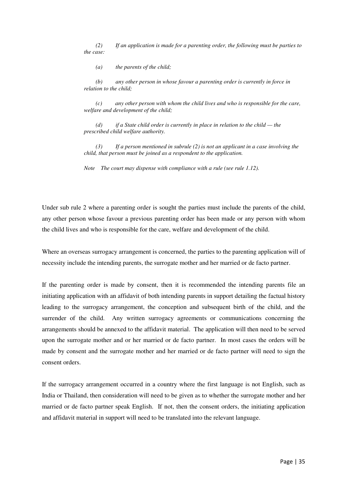*(2) If an application is made for a parenting order, the following must be parties to the case:* 

 *(a) the parents of the child;* 

 *(b) any other person in whose favour a parenting order is currently in force in relation to the child;* 

 *(c) any other person with whom the child lives and who is responsible for the care, welfare and development of the child;* 

 *(d) if a State child order is currently in place in relation to the child — the prescribed child welfare authority.* 

 *(3) If a person mentioned in subrule (2) is not an applicant in a case involving the child, that person must be joined as a respondent to the application.* 

*Note The court may dispense with compliance with a rule (see rule 1.12).* 

Under sub rule 2 where a parenting order is sought the parties must include the parents of the child, any other person whose favour a previous parenting order has been made or any person with whom the child lives and who is responsible for the care, welfare and development of the child.

Where an overseas surrogacy arrangement is concerned, the parties to the parenting application will of necessity include the intending parents, the surrogate mother and her married or de facto partner.

If the parenting order is made by consent, then it is recommended the intending parents file an initiating application with an affidavit of both intending parents in support detailing the factual history leading to the surrogacy arrangement, the conception and subsequent birth of the child, and the surrender of the child. Any written surrogacy agreements or communications concerning the arrangements should be annexed to the affidavit material. The application will then need to be served upon the surrogate mother and or her married or de facto partner. In most cases the orders will be made by consent and the surrogate mother and her married or de facto partner will need to sign the consent orders.

If the surrogacy arrangement occurred in a country where the first language is not English, such as India or Thailand, then consideration will need to be given as to whether the surrogate mother and her married or de facto partner speak English. If not, then the consent orders, the initiating application and affidavit material in support will need to be translated into the relevant language.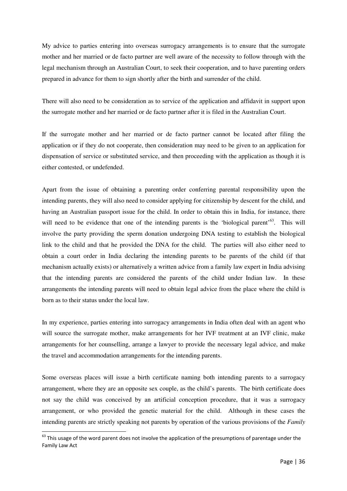My advice to parties entering into overseas surrogacy arrangements is to ensure that the surrogate mother and her married or de facto partner are well aware of the necessity to follow through with the legal mechanism through an Australian Court, to seek their cooperation, and to have parenting orders prepared in advance for them to sign shortly after the birth and surrender of the child.

There will also need to be consideration as to service of the application and affidavit in support upon the surrogate mother and her married or de facto partner after it is filed in the Australian Court.

If the surrogate mother and her married or de facto partner cannot be located after filing the application or if they do not cooperate, then consideration may need to be given to an application for dispensation of service or substituted service, and then proceeding with the application as though it is either contested, or undefended.

Apart from the issue of obtaining a parenting order conferring parental responsibility upon the intending parents, they will also need to consider applying for citizenship by descent for the child, and having an Australian passport issue for the child. In order to obtain this in India, for instance, there will need to be evidence that one of the intending parents is the 'biological parent'<sup>63</sup>. This will involve the party providing the sperm donation undergoing DNA testing to establish the biological link to the child and that he provided the DNA for the child. The parties will also either need to obtain a court order in India declaring the intending parents to be parents of the child (if that mechanism actually exists) or alternatively a written advice from a family law expert in India advising that the intending parents are considered the parents of the child under Indian law. In these arrangements the intending parents will need to obtain legal advice from the place where the child is born as to their status under the local law.

In my experience, parties entering into surrogacy arrangements in India often deal with an agent who will source the surrogate mother, make arrangements for her IVF treatment at an IVF clinic, make arrangements for her counselling, arrange a lawyer to provide the necessary legal advice, and make the travel and accommodation arrangements for the intending parents.

Some overseas places will issue a birth certificate naming both intending parents to a surrogacy arrangement, where they are an opposite sex couple, as the child's parents. The birth certificate does not say the child was conceived by an artificial conception procedure, that it was a surrogacy arrangement, or who provided the genetic material for the child. Although in these cases the intending parents are strictly speaking not parents by operation of the various provisions of the *Family* 

l

 $63$  This usage of the word parent does not involve the application of the presumptions of parentage under the Family Law Act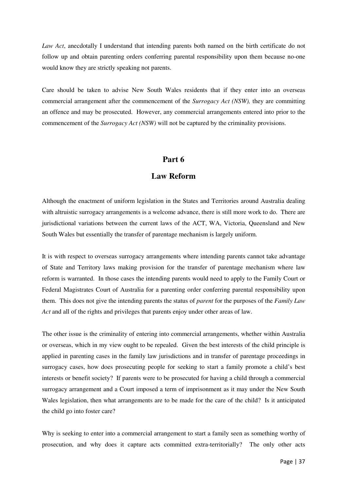*Law Act*, anecdotally I understand that intending parents both named on the birth certificate do not follow up and obtain parenting orders conferring parental responsibility upon them because no-one would know they are strictly speaking not parents.

Care should be taken to advise New South Wales residents that if they enter into an overseas commercial arrangement after the commencement of the *Surrogacy Act (NSW),* they are committing an offence and may be prosecuted. However, any commercial arrangements entered into prior to the commencement of the *Surrogacy Act (NSW)* will not be captured by the criminality provisions.

# **Part 6**

# **Law Reform**

Although the enactment of uniform legislation in the States and Territories around Australia dealing with altruistic surrogacy arrangements is a welcome advance, there is still more work to do. There are jurisdictional variations between the current laws of the ACT, WA, Victoria, Queensland and New South Wales but essentially the transfer of parentage mechanism is largely uniform.

It is with respect to overseas surrogacy arrangements where intending parents cannot take advantage of State and Territory laws making provision for the transfer of parentage mechanism where law reform is warranted. In those cases the intending parents would need to apply to the Family Court or Federal Magistrates Court of Australia for a parenting order conferring parental responsibility upon them. This does not give the intending parents the status of *parent* for the purposes of the *Family Law Act* and all of the rights and privileges that parents enjoy under other areas of law.

The other issue is the criminality of entering into commercial arrangements, whether within Australia or overseas, which in my view ought to be repealed. Given the best interests of the child principle is applied in parenting cases in the family law jurisdictions and in transfer of parentage proceedings in surrogacy cases, how does prosecuting people for seeking to start a family promote a child's best interests or benefit society? If parents were to be prosecuted for having a child through a commercial surrogacy arrangement and a Court imposed a term of imprisonment as it may under the New South Wales legislation, then what arrangements are to be made for the care of the child? Is it anticipated the child go into foster care?

Why is seeking to enter into a commercial arrangement to start a family seen as something worthy of prosecution, and why does it capture acts committed extra-territorially? The only other acts